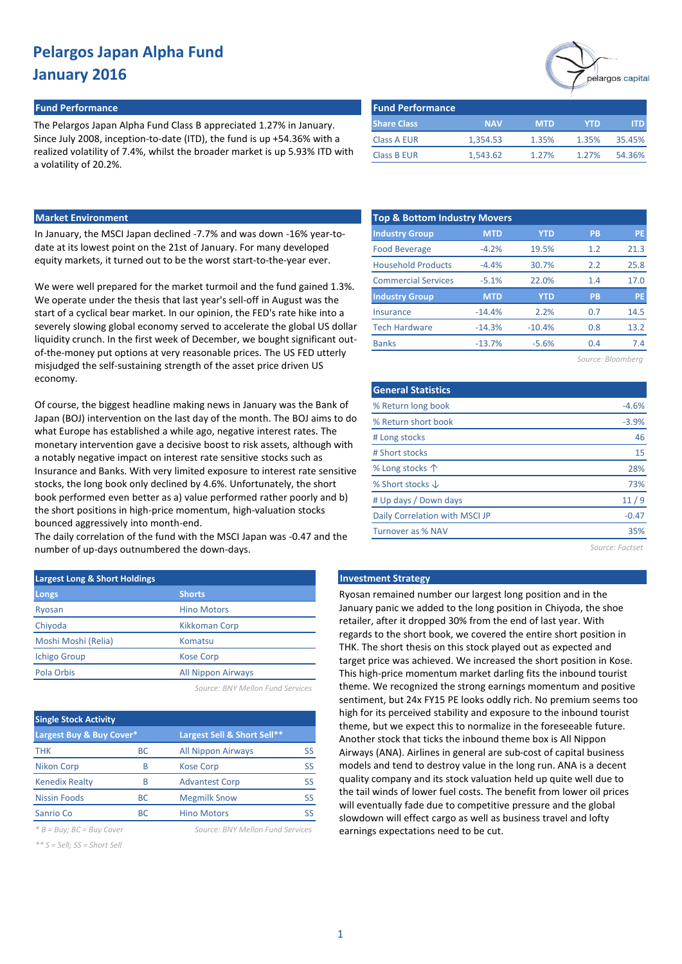### **Fund Performance Fund Performance**

The Pelargos Japan Alpha Fund Class B appreciated 1.27% in January. Since July 2008, inception-to-date (ITD), the fund is up +54.36% with a realized volatility of 7.4%, whilst the broader market is up 5.93% ITD w a volatility of 20.2%.

|      | DHALE CIASS        | $\cdots$ |  |
|------|--------------------|----------|--|
|      | Class A EUR        | 1,354.53 |  |
| 'ith | <b>Class B EUR</b> | 1,543.62 |  |
|      |                    |          |  |

### **Market Environment**

In January, the MSCI Japan declined -7.7% and was down -16% year-todate at its lowest point on the 21st of January. For many developed equity markets, it turned out to be the worst start-to-the-year ever.

We were well prepared for the market turmoil and the fund gained 1.3%. We operate under the thesis that last year's sell-off in August was the start of a cyclical bear market. In our opinion, the FED's rate hike into a severely slowing global economy served to accelerate the global US dollar liquidity crunch. In the first week of December, we bought significant outof-the-money put options at very reasonable prices. The US FED utterly misjudged the self-sustaining strength of the asset price driven US economy.

Of course, the biggest headline making news in January was the Bank of Japan (BOJ) intervention on the last day of the month. The BOJ aims to do what Europe has established a while ago, negative interest rates. The monetary intervention gave a decisive boost to risk assets, although with a notably negative impact on interest rate sensitive stocks such as Insurance and Banks. With very limited exposure to interest rate sensitive stocks, the long book only declined by 4.6%. Unfortunately, the short book performed even better as a) value performed rather poorly and b) the short positions in high-price momentum, high-valuation stocks bounced aggressively into month-end.

The daily correlation of the fund with the MSCI Japan was -0.47 and the number of up-days outnumbered the down-days.

| <b>Largest Long &amp; Short Holdings</b> |                           |  |  |  |  |  |  |
|------------------------------------------|---------------------------|--|--|--|--|--|--|
| Longs                                    | <b>Shorts</b>             |  |  |  |  |  |  |
| Ryosan                                   | <b>Hino Motors</b>        |  |  |  |  |  |  |
| Chiyoda                                  | Kikkoman Corp             |  |  |  |  |  |  |
| Moshi Moshi (Relia)                      | Komatsu                   |  |  |  |  |  |  |
| <b>Ichigo Group</b>                      | <b>Kose Corp</b>          |  |  |  |  |  |  |
| Pola Orbis                               | <b>All Nippon Airways</b> |  |  |  |  |  |  |
|                                          |                           |  |  |  |  |  |  |

*Source: BNY Mellon Fund Services*

| <b>Single Stock Activity</b> |     |                             |    |  |  |  |  |  |  |
|------------------------------|-----|-----------------------------|----|--|--|--|--|--|--|
| Largest Buy & Buy Cover*     |     | Largest Sell & Short Sell** |    |  |  |  |  |  |  |
| <b>THK</b>                   | ВC  | <b>All Nippon Airways</b>   | SS |  |  |  |  |  |  |
| <b>Nikon Corp</b>            | B   | <b>Kose Corp</b>            | SS |  |  |  |  |  |  |
| <b>Kenedix Realty</b>        | R   | <b>Advantest Corp</b>       | SS |  |  |  |  |  |  |
| <b>Nissin Foods</b>          | ВC  | <b>Megmilk Snow</b>         | SS |  |  |  |  |  |  |
| Sanrio Co                    | BC. | <b>Hino Motors</b>          |    |  |  |  |  |  |  |

*\*\* S = Sell; SS = Short Sell*

*\* B = Buy; BC = Buy Cover Source: BNY Mellon Fund Services*



| <b>I GIN FEITULINGING</b> |            |            |       |        |
|---------------------------|------------|------------|-------|--------|
| <b>Share Class</b>        | <b>NAV</b> | <b>MTD</b> | YTD   | ITD.   |
| <b>Class A EUR</b>        | 1.354.53   | 1.35%      | 1.35% | 35.45% |
| <b>Class B EUR</b>        | 1.543.62   | 1.27%      | 1.27% | 54.36% |
|                           |            |            |       |        |

| <b>Top &amp; Bottom Industry Movers</b> |            |            |           |      |  |  |  |  |  |  |
|-----------------------------------------|------------|------------|-----------|------|--|--|--|--|--|--|
| <b>Industry Group</b>                   | <b>MTD</b> | <b>YTD</b> | <b>PB</b> | PE   |  |  |  |  |  |  |
| <b>Food Beverage</b>                    | $-4.2%$    | 19.5%      | 1.2       | 21.3 |  |  |  |  |  |  |
| <b>Household Products</b>               | $-4.4%$    | 30.7%      | 2.2       | 25.8 |  |  |  |  |  |  |
| <b>Commercial Services</b>              | $-5.1%$    | 22.0%      | 1.4       | 17.0 |  |  |  |  |  |  |
| <b>Industry Group</b>                   | <b>MTD</b> | <b>YTD</b> | <b>PB</b> | PE   |  |  |  |  |  |  |
| <b>Insurance</b>                        | $-14.4%$   | 2.2%       | 0.7       | 14.5 |  |  |  |  |  |  |
| <b>Tech Hardware</b>                    | $-14.3%$   | $-10.4%$   | 0.8       | 13.2 |  |  |  |  |  |  |
| <b>Banks</b>                            | $-13.7%$   | $-5.6%$    | 0.4       | 7.4  |  |  |  |  |  |  |
| Source: Bloomberg                       |            |            |           |      |  |  |  |  |  |  |

| <b>General Statistics</b>      |         |
|--------------------------------|---------|
| % Return long book             | $-4.6%$ |
| % Return short book            | $-3.9%$ |
| # Long stocks                  | 46      |
| # Short stocks                 | 15      |
| % Long stocks $\uparrow$       | 28%     |
| % Short stocks $\downarrow$    | 73%     |
| # Up days / Down days          | 11/9    |
| Daily Correlation with MSCI JP | $-0.47$ |
| Turnover as % NAV              | 35%     |
|                                |         |

*Source: Factset*

#### **Investment Strategy**

Ryosan remained number our largest long position and in the January panic we added to the long position in Chiyoda, the shoe retailer, after it dropped 30% from the end of last year. With regards to the short book, we covered the entire short position in THK. The short thesis on this stock played out as expected and target price was achieved. We increased the short position in Kose. This high-price momentum market darling fits the inbound tourist theme. We recognized the strong earnings momentum and positive sentiment, but 24x FY15 PE looks oddly rich. No premium seems too high for its perceived stability and exposure to the inbound tourist theme, but we expect this to normalize in the foreseeable future. Another stock that ticks the inbound theme box is All Nippon Airways (ANA). Airlines in general are sub-cost of capital business models and tend to destroy value in the long run. ANA is a decent quality company and its stock valuation held up quite well due to the tail winds of lower fuel costs. The benefit from lower oil prices will eventually fade due to competitive pressure and the global slowdown will effect cargo as well as business travel and lofty earnings expectations need to be cut.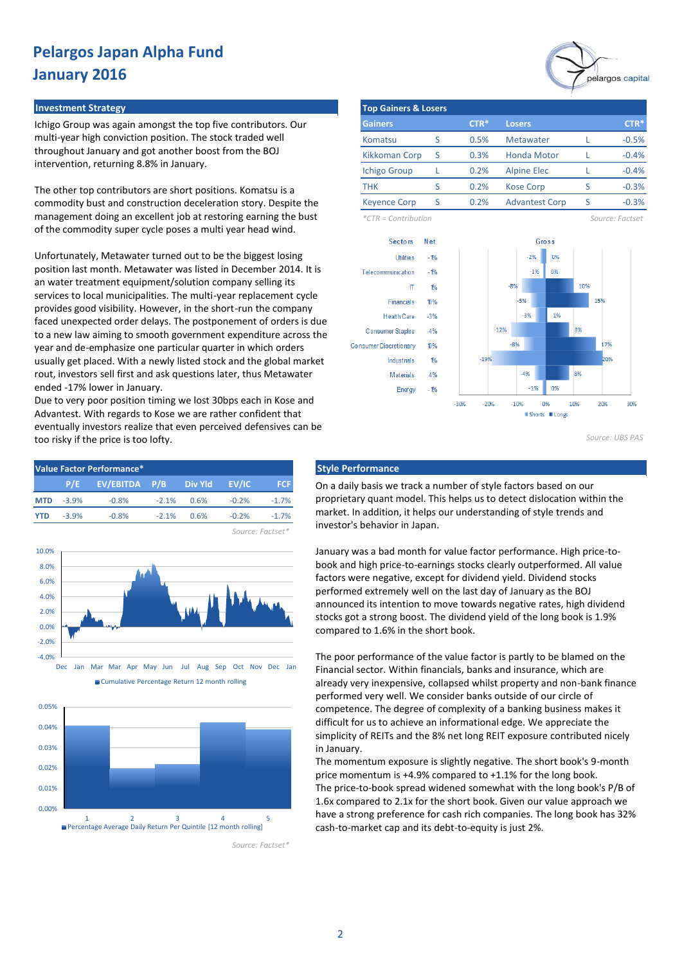#### **Investment Strategy The Contract of Contract Contract of Contract Contract Contract Contract Contract Contract Contract Contract Contract Contract Contract Contract Contract Contract Contract Contract Contract Contract**

Ichigo Group was again amongst the top five contributors. Our multi-year high conviction position. The stock traded well throughout January and got another boost from the BOJ intervention, returning 8.8% in January.

The other top contributors are short positions. Komatsu is a commodity bust and construction deceleration story. Despite the management doing an excellent job at restoring earning the bust of the commodity super cycle poses a multi year head wind.

Unfortunately, Metawater turned out to be the biggest losing position last month. Metawater was listed in December 2014. It is an water treatment equipment/solution company selling its services to local municipalities. The multi-year replacement cycle provides good visibility. However, in the short-run the company faced unexpected order delays. The postponement of orders is due to a new law aiming to smooth government expenditure across the year and de-emphasize one particular quarter in which orders usually get placed. With a newly listed stock and the global market rout, investors sell first and ask questions later, thus Metawater ended -17% lower in January.

Due to very poor position timing we lost 30bps each in Kose and Advantest. With regards to Kose we are rather confident that eventually investors realize that even perceived defensives can be too risky if the price is too lofty.







*Source: Factset\**

|                                 |   |        |                    |  | pelargos capital |  |  |  |  |  |
|---------------------------------|---|--------|--------------------|--|------------------|--|--|--|--|--|
| <b>Top Gainers &amp; Losers</b> |   |        |                    |  |                  |  |  |  |  |  |
| <b>Gainers</b>                  |   | $CTR*$ | <b>Losers</b>      |  | $CTR*$           |  |  |  |  |  |
| Komatsu                         |   | 0.5%   | <b>Metawater</b>   |  | $-0.5%$          |  |  |  |  |  |
| <b>Kikkoman Corp</b>            | S | 0.3%   | <b>Honda Motor</b> |  | $-0.4%$          |  |  |  |  |  |
| <b>Ichigo Group</b>             |   | 0.2%   | <b>Alpine Elec</b> |  | $-0.4%$          |  |  |  |  |  |

*\*CTR = Contribution Source: Factset*

-0.3% -0.3%



THK S 0.2% Kose Corp S Keyence Corp S 0.2% Advantest Corp S

0.2% 0.2%

*Source: UBS PAS*

On a daily basis we track a number of style factors based on our proprietary quant model. This helps us to detect dislocation within the market. In addition, it helps our understanding of style trends and investor's behavior in Japan.

January was a bad month for value factor performance. High price-tobook and high price-to-earnings stocks clearly outperformed. All value factors were negative, except for dividend yield. Dividend stocks performed extremely well on the last day of January as the BOJ announced its intention to move towards negative rates, high dividend stocks got a strong boost. The dividend yield of the long book is 1.9% compared to 1.6% in the short book.

The poor performance of the value factor is partly to be blamed on the Financial sector. Within financials, banks and insurance, which are already very inexpensive, collapsed whilst property and non-bank finance performed very well. We consider banks outside of our circle of competence. The degree of complexity of a banking business makes it difficult for us to achieve an informational edge. We appreciate the simplicity of REITs and the 8% net long REIT exposure contributed nicely in January.

The momentum exposure is slightly negative. The short book's 9-month price momentum is +4.9% compared to +1.1% for the long book. The price-to-book spread widened somewhat with the long book's P/B of 1.6x compared to 2.1x for the short book. Given our value approach we have a strong preference for cash rich companies. The long book has 32% cash-to-market cap and its debt-to-equity is just 2%.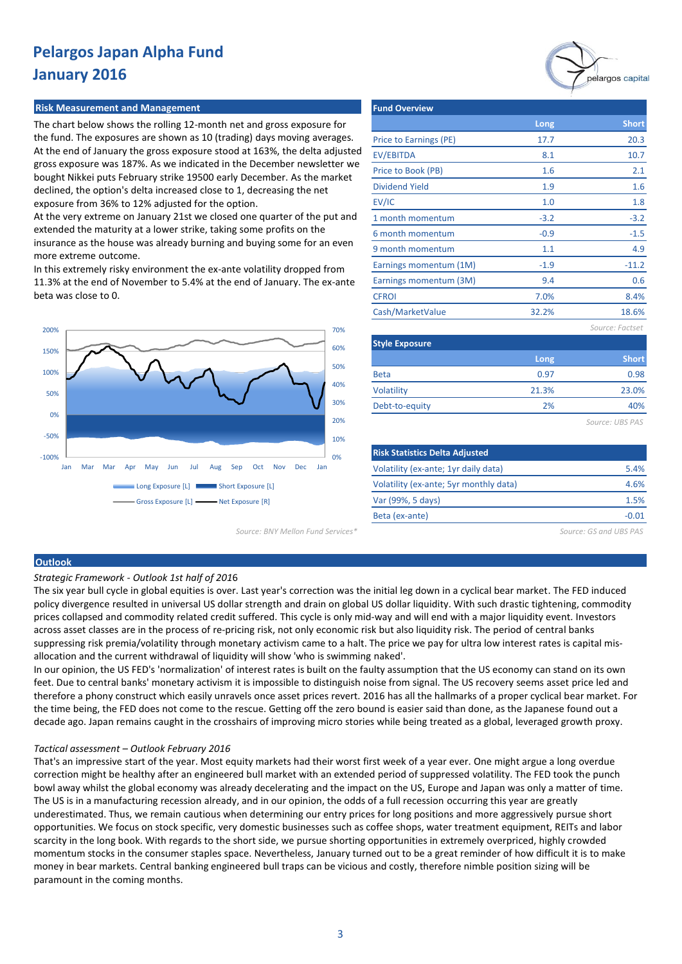#### **Risk Measurement and Management**

The chart below shows the rolling 12-month net and gross exposure for the fund. The exposures are shown as 10 (trading) days moving averages. At the end of January the gross exposure stood at 163%, the delta adjusted gross exposure was 187%. As we indicated in the December newsletter we bought Nikkei puts February strike 19500 early December. As the market declined, the option's delta increased close to 1, decreasing the net exposure from 36% to 12% adjusted for the option.

At the very extreme on January 21st we closed one quarter of the put and extended the maturity at a lower strike, taking some profits on the insurance as the house was already burning and buying some for an even more extreme outcome.

In this extremely risky environment the ex-ante volatility dropped from 11.3% at the end of November to 5.4% at the end of January. The ex-ante beta was close to 0.



| <b>Fund Overview</b>   |        |                 |
|------------------------|--------|-----------------|
|                        | Long   | <b>Short</b>    |
| Price to Earnings (PE) | 17.7   | 20.3            |
| EV/EBITDA              | 8.1    | 10.7            |
| Price to Book (PB)     | 1.6    | 2.1             |
| <b>Dividend Yield</b>  | 1.9    | 1.6             |
| EV/IC                  | 1.0    | 1.8             |
| 1 month momentum       | $-3.2$ | $-3.2$          |
| 6 month momentum       | $-0.9$ | $-1.5$          |
| 9 month momentum       | 1.1    | 4.9             |
| Earnings momentum (1M) | $-1.9$ | $-11.2$         |
| Earnings momentum (3M) | 9.4    | 0.6             |
| <b>CFROI</b>           | 7.0%   | 8.4%            |
| Cash/MarketValue       | 32.2%  | 18.6%           |
|                        |        | Source: Factset |
| <b>Style Exposure</b>  |        |                 |
|                        |        |                 |

| _____________  |       |              |  |  |  |  |  |
|----------------|-------|--------------|--|--|--|--|--|
|                | Long  | <b>Short</b> |  |  |  |  |  |
| <b>Beta</b>    | 0.97  | 0.98         |  |  |  |  |  |
| Volatility     | 21.3% | 23.0%        |  |  |  |  |  |
| Debt-to-equity | 2%    | 40%          |  |  |  |  |  |
|                |       |              |  |  |  |  |  |

*Source: UBS PAS*

| <b>Risk Statistics Delta Adjusted</b>  |       |
|----------------------------------------|-------|
| Volatility (ex-ante; 1yr daily data)   | 5.4%  |
| Volatility (ex-ante; 5yr monthly data) | 4.6%  |
| Var (99%, 5 days)                      | 1.5%  |
| Beta (ex-ante)                         | -N 01 |
|                                        |       |

*Source: BNY Mellon Fund Services\* Source: GS and UBS PAS*

### **Outlook**

*Strategic Framework - Outlook 1st half of 201*6

The six year bull cycle in global equities is over. Last year's correction was the initial leg down in a cyclical bear market. The FED induced policy divergence resulted in universal US dollar strength and drain on global US dollar liquidity. With such drastic tightening, commodity prices collapsed and commodity related credit suffered. This cycle is only mid-way and will end with a major liquidity event. Investors across asset classes are in the process of re-pricing risk, not only economic risk but also liquidity risk. The period of central banks suppressing risk premia/volatility through monetary activism came to a halt. The price we pay for ultra low interest rates is capital misallocation and the current withdrawal of liquidity will show 'who is swimming naked'.

In our opinion, the US FED's 'normalization' of interest rates is built on the faulty assumption that the US economy can stand on its own feet. Due to central banks' monetary activism it is impossible to distinguish noise from signal. The US recovery seems asset price led and therefore a phony construct which easily unravels once asset prices revert. 2016 has all the hallmarks of a proper cyclical bear market. For the time being, the FED does not come to the rescue. Getting off the zero bound is easier said than done, as the Japanese found out a decade ago. Japan remains caught in the crosshairs of improving micro stories while being treated as a global, leveraged growth proxy.

#### *Tactical assessment – Outlook February 2016*

That's an impressive start of the year. Most equity markets had their worst first week of a year ever. One might argue a long overdue correction might be healthy after an engineered bull market with an extended period of suppressed volatility. The FED took the punch bowl away whilst the global economy was already decelerating and the impact on the US, Europe and Japan was only a matter of time. The US is in a manufacturing recession already, and in our opinion, the odds of a full recession occurring this year are greatly underestimated. Thus, we remain cautious when determining our entry prices for long positions and more aggressively pursue short opportunities. We focus on stock specific, very domestic businesses such as coffee shops, water treatment equipment, REITs and labor scarcity in the long book. With regards to the short side, we pursue shorting opportunities in extremely overpriced, highly crowded momentum stocks in the consumer staples space. Nevertheless, January turned out to be a great reminder of how difficult it is to make money in bear markets. Central banking engineered bull traps can be vicious and costly, therefore nimble position sizing will be paramount in the coming months.

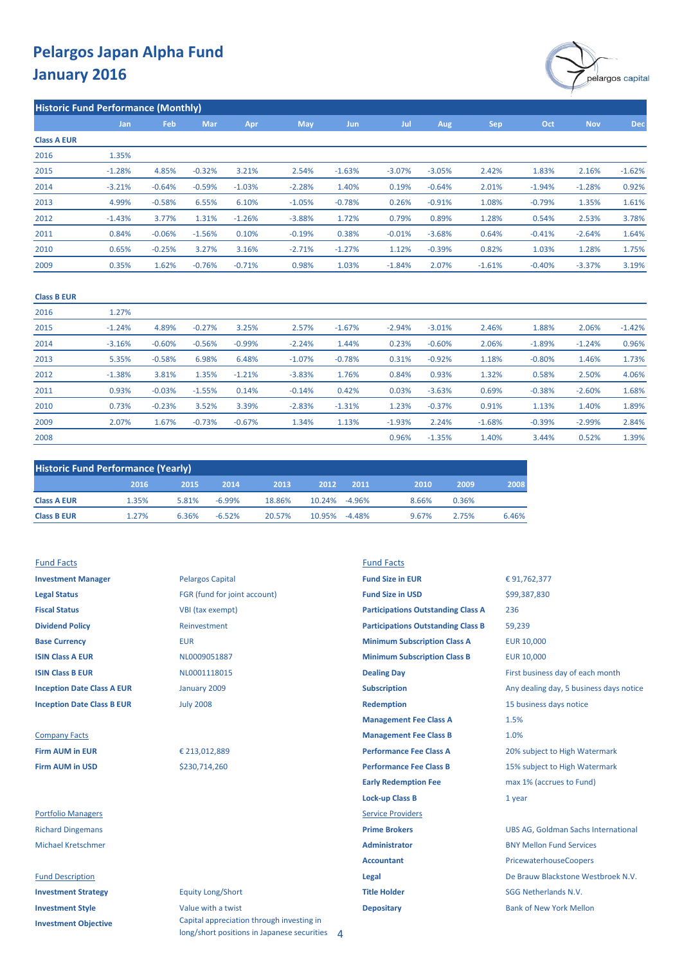

|                    | <b>Historic Fund Performance (Monthly)</b> |          |            |          |            |            |          |          |          |          |            |            |
|--------------------|--------------------------------------------|----------|------------|----------|------------|------------|----------|----------|----------|----------|------------|------------|
|                    | Jan                                        | Feb      | <b>Mar</b> | Apr      | <b>May</b> | <b>Jun</b> | Jul      | Aug      | Sep      | Oct      | <b>Nov</b> | <b>Dec</b> |
| <b>Class A EUR</b> |                                            |          |            |          |            |            |          |          |          |          |            |            |
| 2016               | 1.35%                                      |          |            |          |            |            |          |          |          |          |            |            |
| 2015               | $-1.28%$                                   | 4.85%    | $-0.32%$   | 3.21%    | 2.54%      | $-1.63%$   | $-3.07%$ | $-3.05%$ | 2.42%    | 1.83%    | 2.16%      | $-1.62%$   |
| 2014               | $-3.21%$                                   | $-0.64%$ | $-0.59%$   | $-1.03%$ | $-2.28%$   | 1.40%      | 0.19%    | $-0.64%$ | 2.01%    | $-1.94%$ | $-1.28%$   | 0.92%      |
| 2013               | 4.99%                                      | $-0.58%$ | 6.55%      | 6.10%    | $-1.05%$   | $-0.78%$   | 0.26%    | $-0.91%$ | 1.08%    | $-0.79%$ | 1.35%      | 1.61%      |
| 2012               | $-1.43%$                                   | 3.77%    | 1.31%      | $-1.26%$ | $-3.88%$   | 1.72%      | 0.79%    | 0.89%    | 1.28%    | 0.54%    | 2.53%      | 3.78%      |
| 2011               | 0.84%                                      | $-0.06%$ | $-1.56%$   | 0.10%    | $-0.19%$   | 0.38%      | $-0.01%$ | $-3.68%$ | 0.64%    | $-0.41%$ | $-2.64%$   | 1.64%      |
| 2010               | 0.65%                                      | $-0.25%$ | 3.27%      | 3.16%    | $-2.71%$   | $-1.27%$   | 1.12%    | $-0.39%$ | 0.82%    | 1.03%    | 1.28%      | 1.75%      |
| 2009               | 0.35%                                      | 1.62%    | $-0.76%$   | $-0.71%$ | 0.98%      | 1.03%      | $-1.84%$ | 2.07%    | $-1.61%$ | $-0.40%$ | $-3.37%$   | 3.19%      |
|                    |                                            |          |            |          |            |            |          |          |          |          |            |            |

#### **Class B EUR**

| 2016 | 1.27%    |          |          |          |          |          |          |          |          |          |          |          |
|------|----------|----------|----------|----------|----------|----------|----------|----------|----------|----------|----------|----------|
| 2015 | $-1.24%$ | 4.89%    | $-0.27%$ | 3.25%    | 2.57%    | $-1.67%$ | $-2.94%$ | $-3.01%$ | 2.46%    | 1.88%    | 2.06%    | $-1.42%$ |
| 2014 | $-3.16%$ | $-0.60%$ | $-0.56%$ | $-0.99%$ | $-2.24%$ | 1.44%    | 0.23%    | $-0.60%$ | 2.06%    | $-1.89%$ | $-1.24%$ | 0.96%    |
| 2013 | 5.35%    | $-0.58%$ | 6.98%    | 6.48%    | $-1.07%$ | $-0.78%$ | 0.31%    | $-0.92%$ | 1.18%    | $-0.80%$ | 1.46%    | 1.73%    |
| 2012 | $-1.38%$ | 3.81%    | 1.35%    | $-1.21%$ | $-3.83%$ | 1.76%    | 0.84%    | 0.93%    | 1.32%    | 0.58%    | 2.50%    | 4.06%    |
| 2011 | 0.93%    | $-0.03%$ | $-1.55%$ | 0.14%    | $-0.14%$ | 0.42%    | 0.03%    | $-3.63%$ | 0.69%    | $-0.38%$ | $-2.60%$ | 1.68%    |
| 2010 | 0.73%    | $-0.23%$ | 3.52%    | 3.39%    | $-2.83%$ | $-1.31%$ | 1.23%    | $-0.37%$ | 0.91%    | 1.13%    | 1.40%    | 1.89%    |
| 2009 | 2.07%    | 1.67%    | $-0.73%$ | $-0.67%$ | 1.34%    | 1.13%    | $-1.93%$ | 2.24%    | $-1.68%$ | $-0.39%$ | $-2.99%$ | 2.84%    |
| 2008 |          |          |          |          |          |          | 0.96%    | $-1.35%$ | 1.40%    | 3.44%    | 0.52%    | 1.39%    |

| <b>Historic Fund Performance (Yearly)</b> |       |       |          |        |               |      |       |       |       |  |
|-------------------------------------------|-------|-------|----------|--------|---------------|------|-------|-------|-------|--|
|                                           | 2016  | 2015  | 2014     | 2013   | 2012          | 2011 | 2010  | 2009  | 2008  |  |
| <b>Class A EUR</b>                        | 1.35% | 5.81% | $-6.99%$ | 18.86% | 10.24% -4.96% |      | 8.66% | 0.36% |       |  |
| <b>Class B EUR</b>                        | 1.27% | 6.36% | $-6.52%$ | 20.57% | 10.95% -4.48% |      | 9.67% | 2.75% | 6.46% |  |

**Investment Objective**

| <b>Fund Facts</b>                 |                              | <b>Fund Facts</b>                         |                                            |
|-----------------------------------|------------------------------|-------------------------------------------|--------------------------------------------|
| <b>Investment Manager</b>         | <b>Pelargos Capital</b>      | <b>Fund Size in EUR</b>                   | €91,762,377                                |
| <b>Legal Status</b>               | FGR (fund for joint account) | <b>Fund Size in USD</b>                   | \$99,387,830                               |
| <b>Fiscal Status</b>              | VBI (tax exempt)             | <b>Participations Outstanding Class A</b> | 236                                        |
| <b>Dividend Policy</b>            | Reinvestment                 | <b>Participations Outstanding Class B</b> | 59,239                                     |
| <b>Base Currency</b>              | <b>EUR</b>                   | <b>Minimum Subscription Class A</b>       | <b>EUR 10,000</b>                          |
| <b>ISIN Class A EUR</b>           | NL0009051887                 | <b>Minimum Subscription Class B</b>       | <b>EUR 10,000</b>                          |
| <b>ISIN Class B EUR</b>           | NL0001118015                 | <b>Dealing Day</b>                        | First business day of each month           |
| <b>Inception Date Class A EUR</b> | January 2009                 | <b>Subscription</b>                       | Any dealing day, 5 business days notice    |
| <b>Inception Date Class B EUR</b> | <b>July 2008</b>             | <b>Redemption</b>                         | 15 business days notice                    |
|                                   |                              | <b>Management Fee Class A</b>             | 1.5%                                       |
| <b>Company Facts</b>              |                              | <b>Management Fee Class B</b>             | 1.0%                                       |
| <b>Firm AUM in EUR</b>            | € 213,012,889                | <b>Performance Fee Class A</b>            | 20% subject to High Watermark              |
| <b>Firm AUM in USD</b>            | \$230,714,260                | <b>Performance Fee Class B</b>            | 15% subject to High Watermark              |
|                                   |                              | <b>Early Redemption Fee</b>               | max 1% (accrues to Fund)                   |
|                                   |                              | <b>Lock-up Class B</b>                    | 1 year                                     |
| <b>Portfolio Managers</b>         |                              | <b>Service Providers</b>                  |                                            |
| <b>Richard Dingemans</b>          |                              | <b>Prime Brokers</b>                      | <b>UBS AG, Goldman Sachs International</b> |
| <b>Michael Kretschmer</b>         |                              | <b>Administrator</b>                      | <b>BNY Mellon Fund Services</b>            |
|                                   |                              | <b>Accountant</b>                         | <b>PricewaterhouseCoopers</b>              |
| <b>Fund Description</b>           |                              | Legal                                     | De Brauw Blackstone Westbroek N.V.         |
| <b>Investment Strategy</b>        | <b>Equity Long/Short</b>     | <b>Title Holder</b>                       | <b>SGG Netherlands N.V.</b>                |
| <b>Investment Style</b>           | Value with a twist           | <b>Depositary</b>                         | <b>Bank of New York Mellon</b>             |

Capital appreciation through investing in long/short positions in Japanese securities 4